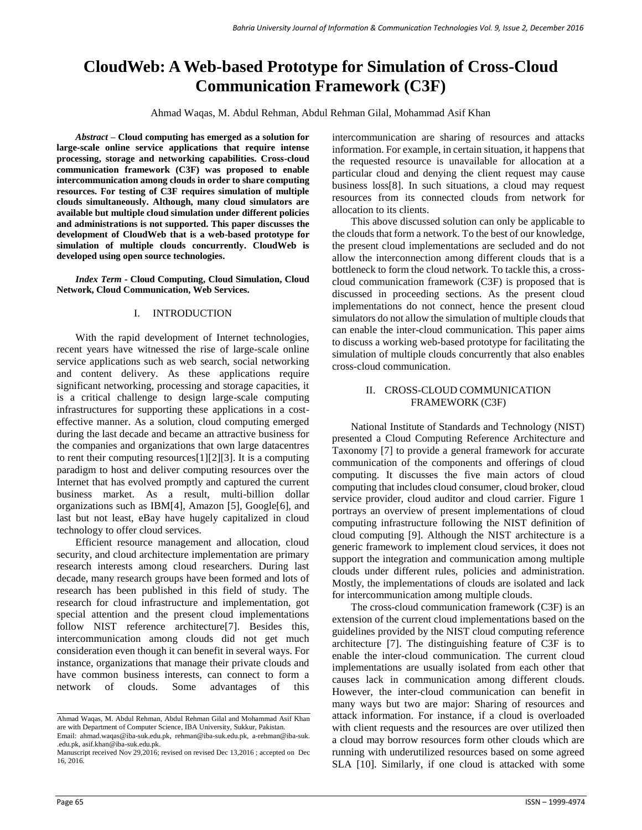# **CloudWeb: A Web-based Prototype for Simulation of Cross-Cloud Communication Framework (C3F)**

Ahmad Waqas, M. Abdul Rehman, Abdul Rehman Gilal, Mohammad Asif Khan

*Abstract –* **Cloud computing has emerged as a solution for large-scale online service applications that require intense processing, storage and networking capabilities. Cross-cloud communication framework (C3F) was proposed to enable intercommunication among clouds in order to share computing resources. For testing of C3F requires simulation of multiple clouds simultaneously. Although, many cloud simulators are available but multiple cloud simulation under different policies and administrations is not supported. This paper discusses the development of CloudWeb that is a web-based prototype for simulation of multiple clouds concurrently. CloudWeb is developed using open source technologies.**

*Index Term -* **Cloud Computing, Cloud Simulation, Cloud Network, Cloud Communication, Web Services.**

#### I. INTRODUCTION

With the rapid development of Internet technologies, recent years have witnessed the rise of large-scale online service applications such as web search, social networking and content delivery. As these applications require significant networking, processing and storage capacities, it is a critical challenge to design large-scale computing infrastructures for supporting these applications in a costeffective manner. As a solution, cloud computing emerged during the last decade and became an attractive business for the companies and organizations that own large datacentres to rent their computing resources[1][2][3]. It is a computing paradigm to host and deliver computing resources over the Internet that has evolved promptly and captured the current business market. As a result, multi-billion dollar organizations such as IBM[4], Amazon [5], Google[6], and last but not least, eBay have hugely capitalized in cloud technology to offer cloud services.

Efficient resource management and allocation, cloud security, and cloud architecture implementation are primary research interests among cloud researchers. During last decade, many research groups have been formed and lots of research has been published in this field of study. The research for cloud infrastructure and implementation, got special attention and the present cloud implementations follow NIST reference architecture[7]. Besides this, intercommunication among clouds did not get much consideration even though it can benefit in several ways. For instance, organizations that manage their private clouds and have common business interests, can connect to form a network of clouds. Some advantages of this intercommunication are sharing of resources and attacks information. For example, in certain situation, it happens that the requested resource is unavailable for allocation at a particular cloud and denying the client request may cause business loss[8]. In such situations, a cloud may request resources from its connected clouds from network for allocation to its clients.

This above discussed solution can only be applicable to the clouds that form a network. To the best of our knowledge, the present cloud implementations are secluded and do not allow the interconnection among different clouds that is a bottleneck to form the cloud network. To tackle this, a crosscloud communication framework (C3F) is proposed that is discussed in proceeding sections. As the present cloud implementations do not connect, hence the present cloud simulators do not allow the simulation of multiple clouds that can enable the inter-cloud communication. This paper aims to discuss a working web-based prototype for facilitating the simulation of multiple clouds concurrently that also enables cross-cloud communication.

#### II. CROSS-CLOUD COMMUNICATION FRAMEWORK (C3F)

National Institute of Standards and Technology (NIST) presented a Cloud Computing Reference Architecture and Taxonomy [7] to provide a general framework for accurate communication of the components and offerings of cloud computing. It discusses the five main actors of cloud computing that includes cloud consumer, cloud broker, cloud service provider, cloud auditor and cloud carrier. Figure 1 portrays an overview of present implementations of cloud computing infrastructure following the NIST definition of cloud computing [9]. Although the NIST architecture is a generic framework to implement cloud services, it does not support the integration and communication among multiple clouds under different rules, policies and administration. Mostly, the implementations of clouds are isolated and lack for intercommunication among multiple clouds.

The cross-cloud communication framework (C3F) is an extension of the current cloud implementations based on the guidelines provided by the NIST cloud computing reference architecture [7]. The distinguishing feature of C3F is to enable the inter-cloud communication. The current cloud implementations are usually isolated from each other that causes lack in communication among different clouds. However, the inter-cloud communication can benefit in many ways but two are major: Sharing of resources and attack information. For instance, if a cloud is overloaded with client requests and the resources are over utilized then a cloud may borrow resources form other clouds which are running with underutilized resources based on some agreed SLA [10]. Similarly, if one cloud is attacked with some

Ahmad Waqas, M. Abdul Rehman, Abdul Rehman Gilal and Mohammad Asif Khan are with Department of Computer Science, IBA University, Sukkur, Pakistan. Email: ahmad.waqas@iba-suk.edu.pk, rehman@iba-suk.edu.pk, a-rehman@iba-suk. .edu.pk, [asif.khan@iba-suk.edu.pk.](mailto:asif.khan@iba-suk.edu.pk) 

Manuscript received Nov 29,2016; revised on revised Dec 13,2016 ; accepted on Dec 16, 2016.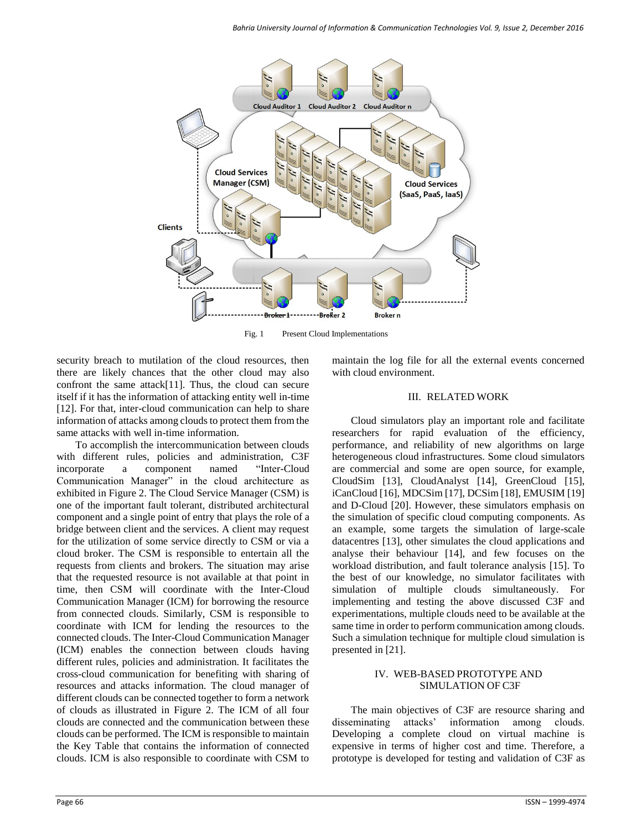

Fig. 1 Present Cloud Implementations

security breach to mutilation of the cloud resources, then there are likely chances that the other cloud may also confront the same attack[11]. Thus, the cloud can secure itself if it has the information of attacking entity well in-time [12]. For that, inter-cloud communication can help to share information of attacks among clouds to protect them from the same attacks with well in-time information.

To accomplish the intercommunication between clouds with different rules, policies and administration, C3F incorporate a component named "Inter-Cloud Communication Manager" in the cloud architecture as exhibited in Figure 2. The Cloud Service Manager (CSM) is one of the important fault tolerant, distributed architectural component and a single point of entry that plays the role of a bridge between client and the services. A client may request for the utilization of some service directly to CSM or via a cloud broker. The CSM is responsible to entertain all the requests from clients and brokers. The situation may arise that the requested resource is not available at that point in time, then CSM will coordinate with the Inter-Cloud Communication Manager (ICM) for borrowing the resource from connected clouds. Similarly, CSM is responsible to coordinate with ICM for lending the resources to the connected clouds. The Inter-Cloud Communication Manager (ICM) enables the connection between clouds having different rules, policies and administration. It facilitates the cross-cloud communication for benefiting with sharing of resources and attacks information. The cloud manager of different clouds can be connected together to form a network of clouds as illustrated in Figure 2. The ICM of all four clouds are connected and the communication between these clouds can be performed. The ICM is responsible to maintain the Key Table that contains the information of connected clouds. ICM is also responsible to coordinate with CSM to

maintain the log file for all the external events concerned with cloud environment.

# III. RELATED WORK

Cloud simulators play an important role and facilitate researchers for rapid evaluation of the efficiency, performance, and reliability of new algorithms on large heterogeneous cloud infrastructures. Some cloud simulators are commercial and some are open source, for example, CloudSim [13], CloudAnalyst [14], GreenCloud [15], iCanCloud [16], MDCSim [17], DCSim [18], EMUSIM [19] and D-Cloud [20]. However, these simulators emphasis on the simulation of specific cloud computing components. As an example, some targets the simulation of large-scale datacentres [13], other simulates the cloud applications and analyse their behaviour [14], and few focuses on the workload distribution, and fault tolerance analysis [15]. To the best of our knowledge, no simulator facilitates with simulation of multiple clouds simultaneously. For implementing and testing the above discussed C3F and experimentations, multiple clouds need to be available at the same time in order to perform communication among clouds. Such a simulation technique for multiple cloud simulation is presented in [21].

# IV. WEB-BASED PROTOTYPE AND SIMULATION OF C3F

The main objectives of C3F are resource sharing and disseminating attacks' information among clouds. Developing a complete cloud on virtual machine is expensive in terms of higher cost and time. Therefore, a prototype is developed for testing and validation of C3F as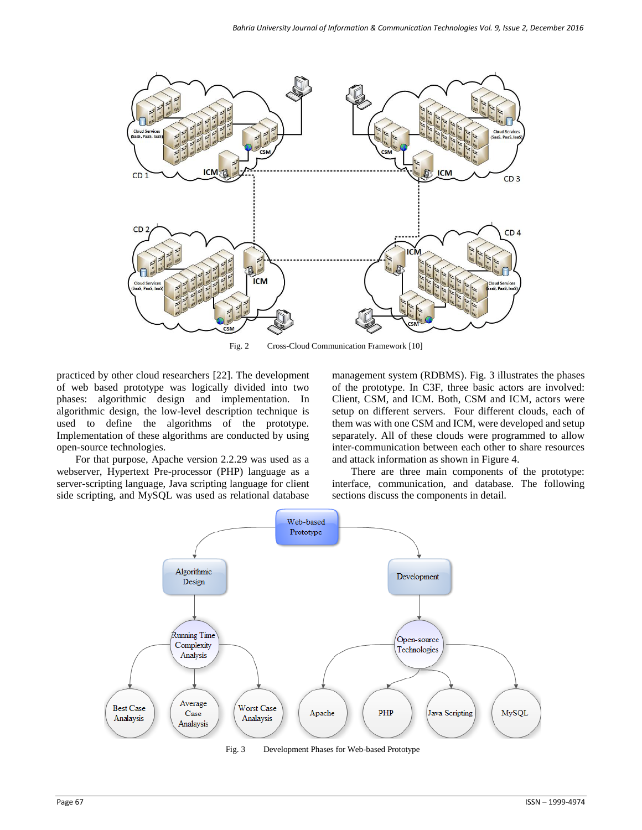

Fig. 2 Cross-Cloud Communication Framework [10]

practiced by other cloud researchers [22]. The development of web based prototype was logically divided into two phases: algorithmic design and implementation. In algorithmic design, the low-level description technique is used to define the algorithms of the prototype. Implementation of these algorithms are conducted by using open-source technologies.

For that purpose, Apache version 2.2.29 was used as a webserver, Hypertext Pre-processor (PHP) language as a server-scripting language, Java scripting language for client side scripting, and MySQL was used as relational database management system (RDBMS). [Fig. 3](#page-2-0) illustrates the phases of the prototype. In C3F, three basic actors are involved: Client, CSM, and ICM. Both, CSM and ICM, actors were setup on different servers. Four different clouds, each of them was with one CSM and ICM, were developed and setup separately. All of these clouds were programmed to allow inter-communication between each other to share resources and attack information as shown in Figure 4.

There are three main components of the prototype: interface, communication, and database. The following sections discuss the components in detail.



<span id="page-2-0"></span>Fig. 3 Development Phases for Web-based Prototype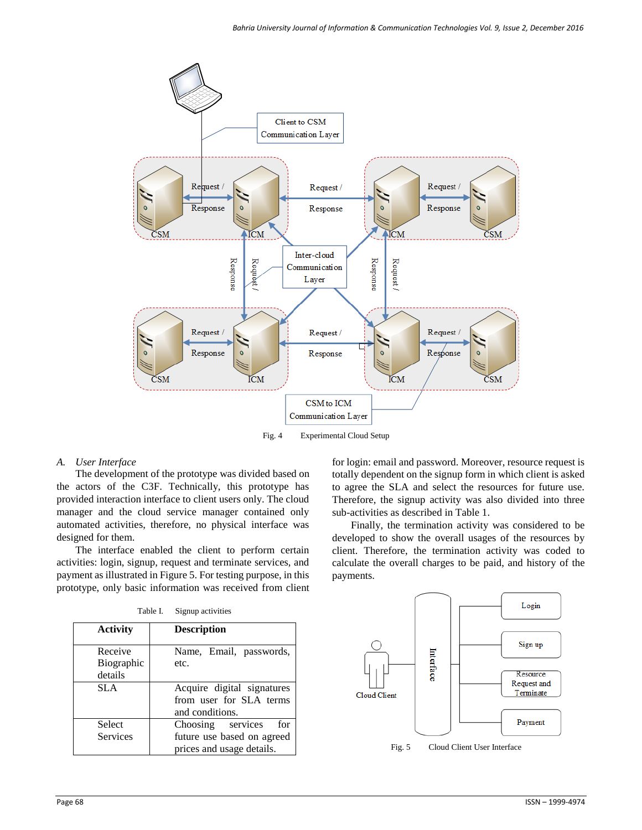

Fig. 4 Experimental Cloud Setup

## *A. User Interface*

The development of the prototype was divided based on the actors of the C3F. Technically, this prototype has provided interaction interface to client users only. The cloud manager and the cloud service manager contained only automated activities, therefore, no physical interface was designed for them.

The interface enabled the client to perform certain activities: login, signup, request and terminate services, and payment as illustrated in Figure 5. For testing purpose, in this prototype, only basic information was received from client

| Table I. | Signup activities |
|----------|-------------------|
|          |                   |

| <b>Activity</b>                         | <b>Description</b>                                                                  |
|-----------------------------------------|-------------------------------------------------------------------------------------|
| Receive<br><b>Biographic</b><br>details | Name, Email, passwords,<br>etc.                                                     |
| SLA.                                    | Acquire digital signatures<br>from user for SLA terms<br>and conditions.            |
| Select<br>Services                      | Choosing services<br>for<br>future use based on agreed<br>prices and usage details. |

for login: email and password. Moreover, resource request is totally dependent on the signup form in which client is asked to agree the SLA and select the resources for future use. Therefore, the signup activity was also divided into three sub-activities as described in Table 1.

Finally, the termination activity was considered to be developed to show the overall usages of the resources by client. Therefore, the termination activity was coded to calculate the overall charges to be paid, and history of the payments.



Fig. 5 Cloud Client User Interface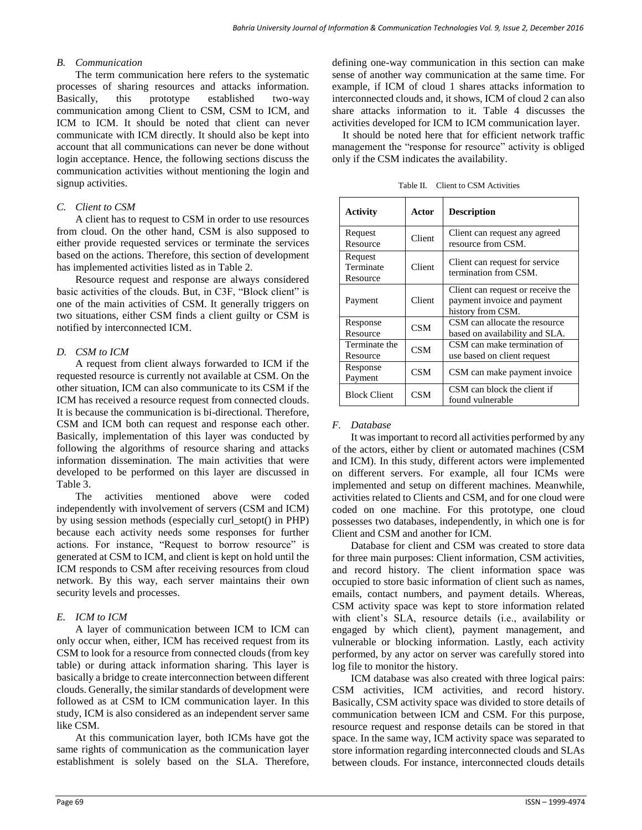### *B. Communication*

The term communication here refers to the systematic processes of sharing resources and attacks information. Basically, this prototype established two-way communication among Client to CSM, CSM to ICM, and ICM to ICM. It should be noted that client can never communicate with ICM directly. It should also be kept into account that all communications can never be done without login acceptance. Hence, the following sections discuss the communication activities without mentioning the login and signup activities.

# *C. Client to CSM*

A client has to request to CSM in order to use resources from cloud. On the other hand, CSM is also supposed to either provide requested services or terminate the services based on the actions. Therefore, this section of development has implemented activities listed as in Table 2.

Resource request and response are always considered basic activities of the clouds. But, in C3F, "Block client" is one of the main activities of CSM. It generally triggers on two situations, either CSM finds a client guilty or CSM is notified by interconnected ICM.

# *D. CSM to ICM*

A request from client always forwarded to ICM if the requested resource is currently not available at CSM. On the other situation, ICM can also communicate to its CSM if the ICM has received a resource request from connected clouds. It is because the communication is bi-directional. Therefore, CSM and ICM both can request and response each other. Basically, implementation of this layer was conducted by following the algorithms of resource sharing and attacks information dissemination. The main activities that were developed to be performed on this layer are discussed in Table 3.

The activities mentioned above were coded independently with involvement of servers (CSM and ICM) by using session methods (especially curl\_setopt() in PHP) because each activity needs some responses for further actions. For instance, "Request to borrow resource" is generated at CSM to ICM, and client is kept on hold until the ICM responds to CSM after receiving resources from cloud network. By this way, each server maintains their own security levels and processes.

# *E. ICM to ICM*

A layer of communication between ICM to ICM can only occur when, either, ICM has received request from its CSM to look for a resource from connected clouds (from key table) or during attack information sharing. This layer is basically a bridge to create interconnection between different clouds. Generally, the similar standards of development were followed as at CSM to ICM communication layer. In this study, ICM is also considered as an independent server same like CSM.

At this communication layer, both ICMs have got the same rights of communication as the communication layer establishment is solely based on the SLA. Therefore,

defining one-way communication in this section can make sense of another way communication at the same time. For example, if ICM of cloud 1 shares attacks information to interconnected clouds and, it shows, ICM of cloud 2 can also share attacks information to it. Table 4 discusses the activities developed for ICM to ICM communication layer.

It should be noted here that for efficient network traffic management the "response for resource" activity is obliged only if the CSM indicates the availability.

Table II. Client to CSM Activities

| <b>Activity</b>                  | Actor      | <b>Description</b>                                                                    |
|----------------------------------|------------|---------------------------------------------------------------------------------------|
| Request<br>Resource              | Client     | Client can request any agreed<br>resource from CSM.                                   |
| Request<br>Terminate<br>Resource | Client     | Client can request for service<br>termination from CSM.                               |
| Payment                          | Client     | Client can request or receive the<br>payment invoice and payment<br>history from CSM. |
| Response<br>Resource             | <b>CSM</b> | CSM can allocate the resource<br>based on availability and SLA.                       |
| Terminate the<br>Resource        | <b>CSM</b> | CSM can make termination of<br>use based on client request                            |
| Response<br>Payment              | <b>CSM</b> | CSM can make payment invoice                                                          |
| <b>Block Client</b>              | CSM        | CSM can block the client if<br>found vulnerable                                       |

## *F. Database*

It was important to record all activities performed by any of the actors, either by client or automated machines (CSM and ICM). In this study, different actors were implemented on different servers. For example, all four ICMs were implemented and setup on different machines. Meanwhile, activities related to Clients and CSM, and for one cloud were coded on one machine. For this prototype, one cloud possesses two databases, independently, in which one is for Client and CSM and another for ICM.

Database for client and CSM was created to store data for three main purposes: Client information, CSM activities, and record history. The client information space was occupied to store basic information of client such as names, emails, contact numbers, and payment details. Whereas, CSM activity space was kept to store information related with client's SLA, resource details (i.e., availability or engaged by which client), payment management, and vulnerable or blocking information. Lastly, each activity performed, by any actor on server was carefully stored into log file to monitor the history.

ICM database was also created with three logical pairs: CSM activities, ICM activities, and record history. Basically, CSM activity space was divided to store details of communication between ICM and CSM. For this purpose, resource request and response details can be stored in that space. In the same way, ICM activity space was separated to store information regarding interconnected clouds and SLAs between clouds. For instance, interconnected clouds details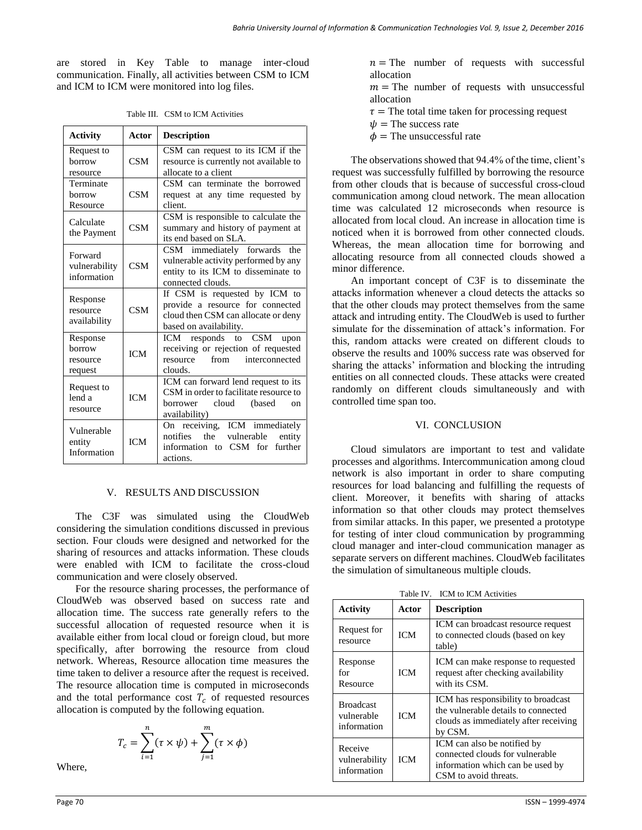are stored in Key Table to manage inter-cloud communication. Finally, all activities between CSM to ICM and ICM to ICM were monitored into log files.

| Table III. CSM to ICM Activities |  |  |
|----------------------------------|--|--|
|                                  |  |  |

| <b>Activity</b>                           | <b>Actor</b> | <b>Description</b>                                                                                                                           |
|-------------------------------------------|--------------|----------------------------------------------------------------------------------------------------------------------------------------------|
| Request to<br>borrow<br>resource          | <b>CSM</b>   | CSM can request to its ICM if the<br>resource is currently not available to<br>allocate to a client                                          |
| Terminate<br>borrow<br>Resource           | <b>CSM</b>   | CSM can terminate the borrowed<br>request at any time requested by<br>client.                                                                |
| Calculate<br>the Payment                  | <b>CSM</b>   | CSM is responsible to calculate the<br>summary and history of payment at<br>its end based on SLA.                                            |
| Forward<br>vulnerability<br>information   | <b>CSM</b>   | CSM immediately forwards<br>the<br>vulnerable activity performed by any<br>entity to its ICM to disseminate to<br>connected clouds.          |
| Response<br>resource<br>availability      | CSM          | If CSM is requested by ICM to<br>provide a resource for connected<br>cloud then CSM can allocate or deny<br>based on availability.           |
| Response<br>horrow<br>resource<br>request | <b>ICM</b>   | ICM responds to CSM upon<br>receiving or rejection of requested<br>from<br>interconnected<br>resource<br>clouds.                             |
| Request to<br>lend a<br>resource          | <b>ICM</b>   | ICM can forward lend request to its<br>CSM in order to facilitate resource to<br>cloud<br>(based<br>borrower<br>$_{\rm on}$<br>availability) |
| Vulnerable<br>entity<br>Information       | ICM          | On receiving, ICM immediately<br>vulnerable<br>notifies<br>the<br>entity<br>information to CSM for<br>further<br>actions.                    |

#### V. RESULTS AND DISCUSSION

The C3F was simulated using the CloudWeb considering the simulation conditions discussed in previous section. Four clouds were designed and networked for the sharing of resources and attacks information. These clouds were enabled with ICM to facilitate the cross-cloud communication and were closely observed.

For the resource sharing processes, the performance of CloudWeb was observed based on success rate and allocation time. The success rate generally refers to the successful allocation of requested resource when it is available either from local cloud or foreign cloud, but more specifically, after borrowing the resource from cloud network. Whereas, Resource allocation time measures the time taken to deliver a resource after the request is received. The resource allocation time is computed in microseconds and the total performance cost  $T_c$  of requested resources allocation is computed by the following equation.

$$
T_c = \sum_{i=1}^n (\tau \times \psi) + \sum_{j=1}^m (\tau \times \phi)
$$

Where,

 $n =$ The number of requests with successful allocation

- $m =$ The number of requests with unsuccessful allocation
- $\tau$  = The total time taken for processing request
- $\psi$  = The success rate
- $\phi$  = The unsuccessful rate

The observations showed that 94.4% of the time, client's request was successfully fulfilled by borrowing the resource from other clouds that is because of successful cross-cloud communication among cloud network. The mean allocation time was calculated 12 microseconds when resource is allocated from local cloud. An increase in allocation time is noticed when it is borrowed from other connected clouds. Whereas, the mean allocation time for borrowing and allocating resource from all connected clouds showed a minor difference.

An important concept of C3F is to disseminate the attacks information whenever a cloud detects the attacks so that the other clouds may protect themselves from the same attack and intruding entity. The CloudWeb is used to further simulate for the dissemination of attack's information. For this, random attacks were created on different clouds to observe the results and 100% success rate was observed for sharing the attacks' information and blocking the intruding entities on all connected clouds. These attacks were created randomly on different clouds simultaneously and with controlled time span too.

#### VI. CONCLUSION

Cloud simulators are important to test and validate processes and algorithms. Intercommunication among cloud network is also important in order to share computing resources for load balancing and fulfilling the requests of client. Moreover, it benefits with sharing of attacks information so that other clouds may protect themselves from similar attacks. In this paper, we presented a prototype for testing of inter cloud communication by programming cloud manager and inter-cloud communication manager as separate servers on different machines. CloudWeb facilitates the simulation of simultaneous multiple clouds.

Table IV. ICM to ICM Activities

| <b>Activity</b>                               | Actor      | <b>Description</b>                                                                                                             |
|-----------------------------------------------|------------|--------------------------------------------------------------------------------------------------------------------------------|
| Request for<br>resource                       | <b>ICM</b> | ICM can broadcast resource request<br>to connected clouds (based on key<br>table)                                              |
| Response<br>for<br>Resource                   | <b>ICM</b> | ICM can make response to requested<br>request after checking availability<br>with its CSM.                                     |
| <b>Broadcast</b><br>vulnerable<br>information | <b>ICM</b> | ICM has responsibility to broadcast<br>the vulnerable details to connected<br>clouds as immediately after receiving<br>by CSM. |
| Receive<br>vulnerability<br>information       | <b>ICM</b> | ICM can also be notified by<br>connected clouds for vulnerable<br>information which can be used by<br>CSM to avoid threats.    |